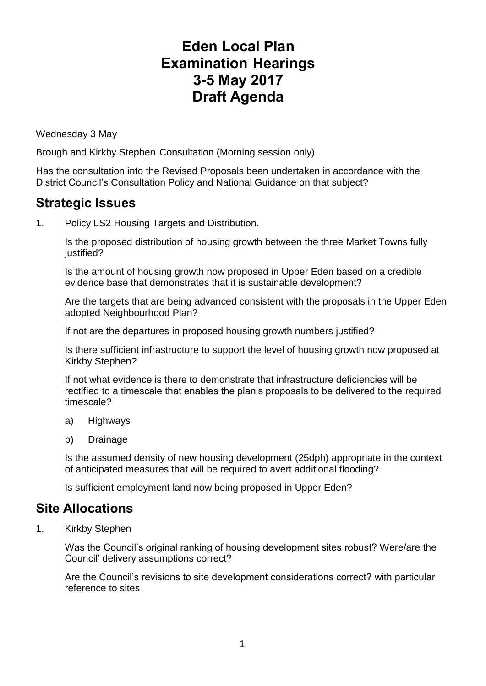## **Eden Local Plan Examination Hearings 3-5 May 2017 Draft Agenda**

Wednesday 3 May

Brough and Kirkby Stephen Consultation (Morning session only)

Has the consultation into the Revised Proposals been undertaken in accordance with the District Council's Consultation Policy and National Guidance on that subject?

## **Strategic Issues**

1. Policy LS2 Housing Targets and Distribution.

Is the proposed distribution of housing growth between the three Market Towns fully justified?

Is the amount of housing growth now proposed in Upper Eden based on a credible evidence base that demonstrates that it is sustainable development?

Are the targets that are being advanced consistent with the proposals in the Upper Eden adopted Neighbourhood Plan?

If not are the departures in proposed housing growth numbers justified?

Is there sufficient infrastructure to support the level of housing growth now proposed at Kirkby Stephen?

If not what evidence is there to demonstrate that infrastructure deficiencies will be rectified to a timescale that enables the plan's proposals to be delivered to the required timescale?

- a) Highways
- b) Drainage

Is the assumed density of new housing development (25dph) appropriate in the context of anticipated measures that will be required to avert additional flooding?

Is sufficient employment land now being proposed in Upper Eden?

## **Site Allocations**

1. Kirkby Stephen

Was the Council's original ranking of housing development sites robust? Were/are the Council' delivery assumptions correct?

Are the Council's revisions to site development considerations correct? with particular reference to sites